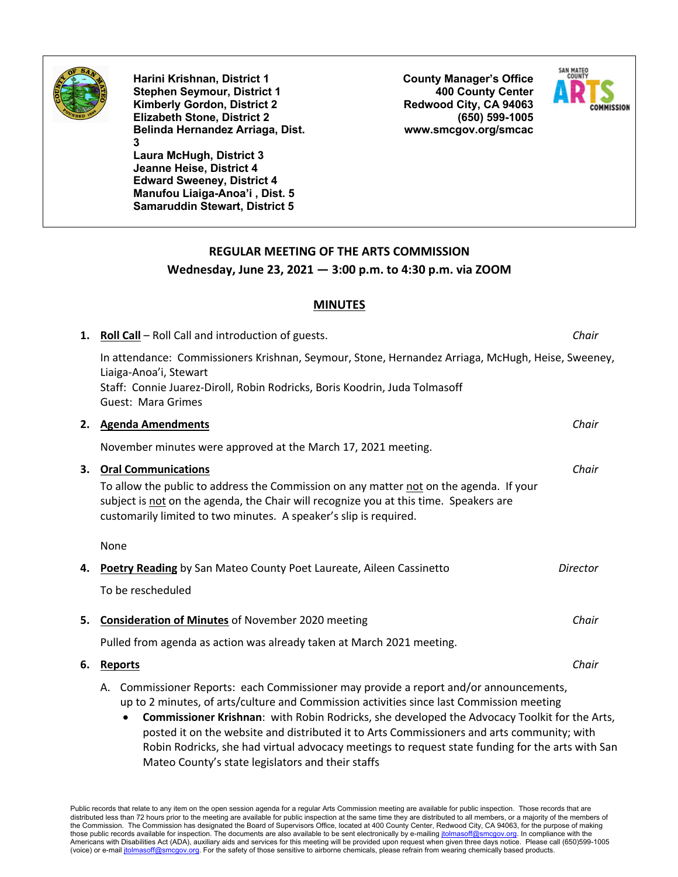

**Harini Krishnan, District 1 Stephen Seymour, District 1 Kimberly Gordon, District 2 Elizabeth Stone, District 2 Belinda Hernandez Arriaga, Dist. 3 Laura McHugh, District 3**

**Jeanne Heise, District 4 Edward Sweeney, District 4 Manufou Liaiga-Anoa'i , Dist. 5 Samaruddin Stewart, District 5** **County Manager's Office 400 County Center Redwood City, CA 94063 (650) 599-1005 www.smcgov.org/smcac**



## **REGULAR MEETING OF THE ARTS COMMISSION Wednesday, June 23, 2021 — 3:00 p.m. to 4:30 p.m. via ZOOM**

## **MINUTES**

|    | 1. Roll Call - Roll Call and introduction of guests.                                                                                                                                                                                                                               | Chair    |
|----|------------------------------------------------------------------------------------------------------------------------------------------------------------------------------------------------------------------------------------------------------------------------------------|----------|
|    | In attendance: Commissioners Krishnan, Seymour, Stone, Hernandez Arriaga, McHugh, Heise, Sweeney,<br>Liaiga-Anoa'i, Stewart                                                                                                                                                        |          |
|    | Staff: Connie Juarez-Diroll, Robin Rodricks, Boris Koodrin, Juda Tolmasoff<br>Guest: Mara Grimes                                                                                                                                                                                   |          |
| 2. | <b>Agenda Amendments</b>                                                                                                                                                                                                                                                           | Chair    |
|    | November minutes were approved at the March 17, 2021 meeting.                                                                                                                                                                                                                      |          |
| 3. | <b>Oral Communications</b><br>To allow the public to address the Commission on any matter not on the agenda. If your<br>subject is not on the agenda, the Chair will recognize you at this time. Speakers are<br>customarily limited to two minutes. A speaker's slip is required. | Chair    |
|    | None                                                                                                                                                                                                                                                                               |          |
| 4. | Poetry Reading by San Mateo County Poet Laureate, Aileen Cassinetto                                                                                                                                                                                                                | Director |
|    | To be rescheduled                                                                                                                                                                                                                                                                  |          |
| 5. | <b>Consideration of Minutes of November 2020 meeting</b>                                                                                                                                                                                                                           | Chair    |
|    | Pulled from agenda as action was already taken at March 2021 meeting.                                                                                                                                                                                                              |          |
| 6. | <b>Reports</b>                                                                                                                                                                                                                                                                     | Chair    |
|    | Commissioner Reports: each Commissioner may provide a report and/or announcements,<br>А.<br>up to 2 minutes, of arts/culture and Commission activities since last Commission meeting                                                                                               |          |

• **Commissioner Krishnan**: with Robin Rodricks, she developed the Advocacy Toolkit for the Arts, posted it on the website and distributed it to Arts Commissioners and arts community; with Robin Rodricks, she had virtual advocacy meetings to request state funding for the arts with San Mateo County's state legislators and their staffs

Public records that relate to any item on the open session agenda for a regular Arts Commission meeting are available for public inspection. Those records that are distributed less than 72 hours prior to the meeting are available for public inspection at the same time they are distributed to all members, or a majority of the members of the Commission. The Commission has designated the Board of Supervisors Office, located at 400 County Center, Redwood City, CA 94063, for the purpose of making those public records available for inspection. The documents are also available to be sent electronically by e-mailing jtolmasoff@smcgov.org. In compliance with the Americans with Disabilities Act (ADA), auxiliary aids and services for this meeting will be provided upon request when given three days notice. Please call (650)599-1005 (voice) or e-mail jtolmasoff@smcgov.org. For the safety of those sensitive to airborne chemicals, please refrain from wearing chemically based products.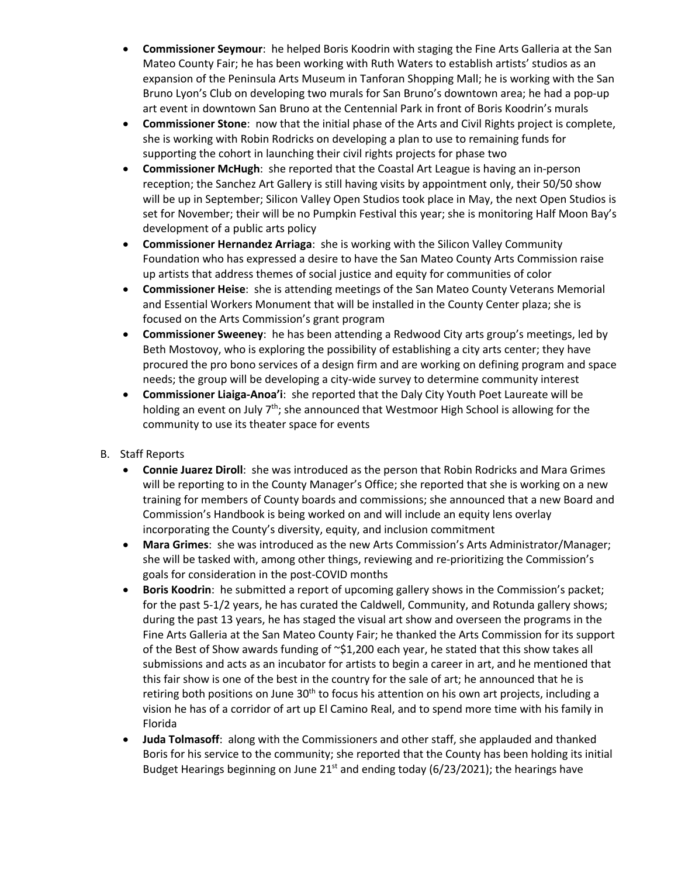- **Commissioner Seymour**: he helped Boris Koodrin with staging the Fine Arts Galleria at the San Mateo County Fair; he has been working with Ruth Waters to establish artists' studios as an expansion of the Peninsula Arts Museum in Tanforan Shopping Mall; he is working with the San Bruno Lyon's Club on developing two murals for San Bruno's downtown area; he had a pop-up art event in downtown San Bruno at the Centennial Park in front of Boris Koodrin's murals
- **Commissioner Stone**: now that the initial phase of the Arts and Civil Rights project is complete, she is working with Robin Rodricks on developing a plan to use to remaining funds for supporting the cohort in launching their civil rights projects for phase two
- **Commissioner McHugh**: she reported that the Coastal Art League is having an in-person reception; the Sanchez Art Gallery is still having visits by appointment only, their 50/50 show will be up in September; Silicon Valley Open Studios took place in May, the next Open Studios is set for November; their will be no Pumpkin Festival this year; she is monitoring Half Moon Bay's development of a public arts policy
- **Commissioner Hernandez Arriaga**: she is working with the Silicon Valley Community Foundation who has expressed a desire to have the San Mateo County Arts Commission raise up artists that address themes of social justice and equity for communities of color
- **Commissioner Heise**: she is attending meetings of the San Mateo County Veterans Memorial and Essential Workers Monument that will be installed in the County Center plaza; she is focused on the Arts Commission's grant program
- **Commissioner Sweeney**: he has been attending a Redwood City arts group's meetings, led by Beth Mostovoy, who is exploring the possibility of establishing a city arts center; they have procured the pro bono services of a design firm and are working on defining program and space needs; the group will be developing a city-wide survey to determine community interest
- **Commissioner Liaiga-Anoa'i**: she reported that the Daly City Youth Poet Laureate will be holding an event on July 7<sup>th</sup>; she announced that Westmoor High School is allowing for the community to use its theater space for events
- B. Staff Reports
	- **Connie Juarez Diroll**: she was introduced as the person that Robin Rodricks and Mara Grimes will be reporting to in the County Manager's Office; she reported that she is working on a new training for members of County boards and commissions; she announced that a new Board and Commission's Handbook is being worked on and will include an equity lens overlay incorporating the County's diversity, equity, and inclusion commitment
	- **Mara Grimes**: she was introduced as the new Arts Commission's Arts Administrator/Manager; she will be tasked with, among other things, reviewing and re-prioritizing the Commission's goals for consideration in the post-COVID months
	- **Boris Koodrin**: he submitted a report of upcoming gallery shows in the Commission's packet; for the past 5-1/2 years, he has curated the Caldwell, Community, and Rotunda gallery shows; during the past 13 years, he has staged the visual art show and overseen the programs in the Fine Arts Galleria at the San Mateo County Fair; he thanked the Arts Commission for its support of the Best of Show awards funding of ~\$1,200 each year, he stated that this show takes all submissions and acts as an incubator for artists to begin a career in art, and he mentioned that this fair show is one of the best in the country for the sale of art; he announced that he is retiring both positions on June  $30<sup>th</sup>$  to focus his attention on his own art projects, including a vision he has of a corridor of art up El Camino Real, and to spend more time with his family in Florida
	- **Juda Tolmasoff**: along with the Commissioners and other staff, she applauded and thanked Boris for his service to the community; she reported that the County has been holding its initial Budget Hearings beginning on June  $21^{st}$  and ending today (6/23/2021); the hearings have